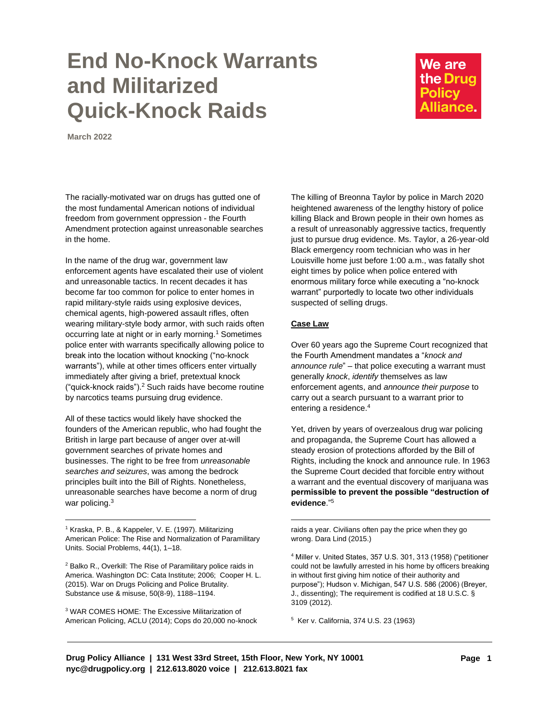## **End No-Knock Warrants and Militarized Quick-Knock Raids**

We are the Drug **Policy** Alliance.

**March 2022**

The racially-motivated war on drugs has gutted one of the most fundamental American notions of individual freedom from government oppression - the Fourth Amendment protection against unreasonable searches in the home.

In the name of the drug war, government law enforcement agents have escalated their use of violent and unreasonable tactics. In recent decades it has become far too common for police to enter homes in rapid military-style raids using explosive devices, chemical agents, high-powered assault rifles, often wearing military-style body armor, with such raids often occurring late at night or in early morning.<sup>1</sup> Sometimes police enter with warrants specifically allowing police to break into the location without knocking ("no-knock warrants"), while at other times officers enter virtually immediately after giving a brief, pretextual knock ("quick-knock raids"). <sup>2</sup> Such raids have become routine by narcotics teams pursuing drug evidence.

All of these tactics would likely have shocked the founders of the American republic, who had fought the British in large part because of anger over at-will government searches of private homes and businesses. The right to be free from *unreasonable searches and seizures*, was among the bedrock principles built into the Bill of Rights. Nonetheless, unreasonable searches have become a norm of drug war policing.<sup>3</sup>

<sup>1</sup> Kraska, P. B., & Kappeler, V. E. (1997). Militarizing American Police: The Rise and Normalization of Paramilitary Units. Social Problems, 44(1), 1–18.

<sup>2</sup> Balko R., Overkill: The Rise of Paramilitary police raids in America. Washington DC: Cata Institute; 2006; Cooper H. L. (2015). War on Drugs Policing and Police Brutality. Substance use & misuse, 50(8-9), 1188–1194.

<sup>3</sup> WAR COMES HOME: The Excessive Militarization of American Policing, ACLU (2014); Cops do 20,000 no-knock The killing of Breonna Taylor by police in March 2020 heightened awareness of the lengthy history of police killing Black and Brown people in their own homes as a result of unreasonably aggressive tactics, frequently just to pursue drug evidence. Ms. Taylor, a 26-year-old Black emergency room technician who was in her Louisville home just before 1:00 a.m., was fatally shot eight times by police when police entered with enormous military force while executing a "no-knock warrant" purportedly to locate two other individuals suspected of selling drugs.

## **Case Law**

Over 60 years ago the Supreme Court recognized that the Fourth Amendment mandates a "*knock and announce rule*" – that police executing a warrant must generally *knock*, *identify* themselves as law enforcement agents, and *announce their purpose* to carry out a search pursuant to a warrant prior to entering a residence.<sup>4</sup>

Yet, driven by years of overzealous drug war policing and propaganda, the Supreme Court has allowed a steady erosion of protections afforded by the Bill of Rights, including the knock and announce rule. In 1963 the Supreme Court decided that forcible entry without a warrant and the eventual discovery of marijuana was **permissible to prevent the possible "destruction of evidence**."<sup>5</sup>

raids a year. Civilians often pay the price when they go wrong. Dara Lind (2015.)

<sup>4</sup> Miller v. United States, 357 U.S. 301, 313 (1958) ("petitioner could not be lawfully arrested in his home by officers breaking in without first giving him notice of their authority and purpose"); Hudson v. Michigan, 547 U.S. 586 (2006) (Breyer, J., dissenting); The requirement is codified at 18 U.S.C. § 3109 (2012).

5 Ker v. California, 374 U.S. 23 (1963)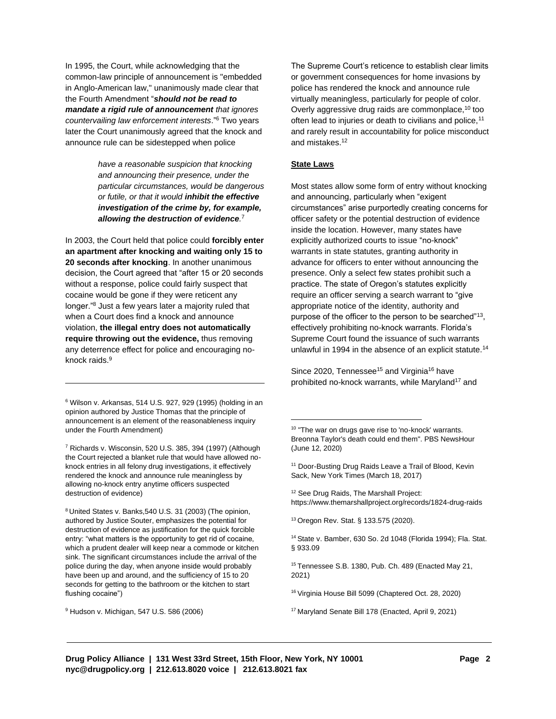In 1995, the Court, while acknowledging that the common-law principle of announcement is "embedded in Anglo-American law," unanimously made clear that the Fourth Amendment "*should not be read to mandate a rigid rule of announcement that ignores countervailing law enforcement interests*."<sup>6</sup> Two years later the Court unanimously agreed that the knock and announce rule can be sidestepped when police

> *have a reasonable suspicion that knocking and announcing their presence, under the particular circumstances, would be dangerous or futile, or that it would inhibit the effective investigation of the crime by, for example, allowing the destruction of evidence.* 7

In 2003, the Court held that police could **forcibly enter an apartment after knocking and waiting only 15 to 20 seconds after knocking**. In another unanimous decision, the Court agreed that "after 15 or 20 seconds without a response, police could fairly suspect that cocaine would be gone if they were reticent any longer."<sup>8</sup> Just a few years later a majority ruled that when a Court does find a knock and announce violation, **the illegal entry does not automatically require throwing out the evidence,** thus removing any deterrence effect for police and encouraging noknock raids.<sup>9</sup>

<sup>6</sup> Wilson v. Arkansas, 514 U.S. 927, 929 (1995) (holding in an opinion authored by Justice Thomas that the principle of announcement is an element of the reasonableness inquiry under the Fourth Amendment)

<sup>7</sup> Richards v. Wisconsin, 520 U.S. 385, 394 (1997) (Although the Court rejected a blanket rule that would have allowed noknock entries in all felony drug investigations, it effectively rendered the knock and announce rule meaningless by allowing no-knock entry anytime officers suspected destruction of evidence)

<sup>8</sup> United States v. Banks,540 U.S. 31 (2003) (The opinion, authored by Justice Souter, emphasizes the potential for destruction of evidence as justification for the quick forcible entry: "what matters is the opportunity to get rid of cocaine, which a prudent dealer will keep near a commode or kitchen sink. The significant circumstances include the arrival of the police during the day, when anyone inside would probably have been up and around, and the sufficiency of 15 to 20 seconds for getting to the bathroom or the kitchen to start flushing cocaine")

<sup>9</sup> Hudson v. Michigan, 547 U.S. 586 (2006)

The Supreme Court's reticence to establish clear limits or government consequences for home invasions by police has rendered the knock and announce rule virtually meaningless, particularly for people of color. Overly aggressive drug raids are commonplace,<sup>10</sup> too often lead to injuries or death to civilians and police,<sup>11</sup> and rarely result in accountability for police misconduct and mistakes.<sup>12</sup>

## **State Laws**

Most states allow some form of entry without knocking and announcing, particularly when "exigent circumstances" arise purportedly creating concerns for officer safety or the potential destruction of evidence inside the location. However, many states have explicitly authorized courts to issue "no-knock" warrants in state statutes, granting authority in advance for officers to enter without announcing the presence. Only a select few states prohibit such a practice. The state of Oregon's statutes explicitly require an officer serving a search warrant to "give appropriate notice of the identity, authority and purpose of the officer to the person to be searched"<sup>13</sup>, effectively prohibiting no-knock warrants. Florida's Supreme Court found the issuance of such warrants unlawful in 1994 in the absence of an explicit statute.<sup>14</sup>

Since 2020, Tennessee<sup>15</sup> and Virginia<sup>16</sup> have prohibited no-knock warrants, while Maryland<sup>17</sup> and

<sup>11</sup> Door-Busting Drug Raids Leave a Trail of Blood, Kevin Sack, New York Times (March 18, 2017)

<sup>12</sup> See Drug Raids, The Marshall Project: <https://www.themarshallproject.org/records/1824-drug-raids>

<sup>13</sup> Oregon Rev. Stat. § 133.575 (2020).

<sup>14</sup> State v. Bamber, 630 So. 2d 1048 (Florida 1994); Fla. Stat. § 933.09

<sup>15</sup> Tennessee S.B. 1380, Pub. Ch. 489 (Enacted May 21, 2021)

<sup>16</sup> Virginia House Bill 5099 (Chaptered Oct. 28, 2020)

<sup>17</sup> Maryland Senate Bill 178 (Enacted, April 9, 2021)

<sup>&</sup>lt;sup>10</sup> "The war on drugs gave rise to 'no-knock' warrants. Breonna Taylor's death could end them". PBS NewsHour (June 12, 2020)